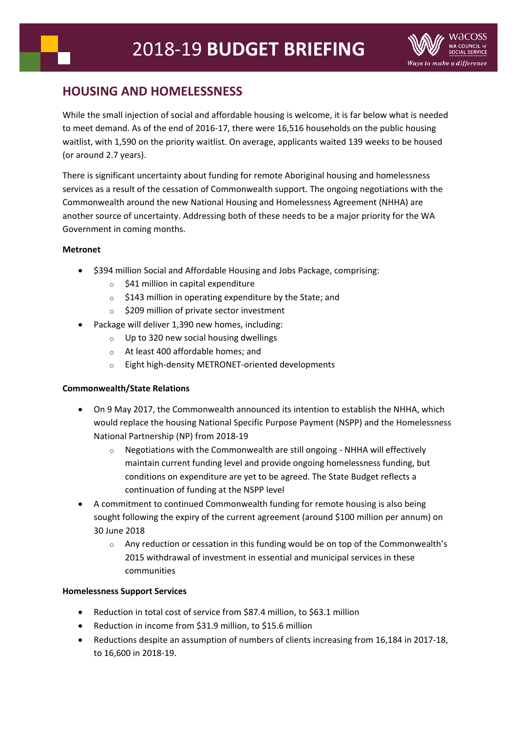# **HOUSING AND HOMELESSNESS**

While the small injection of social and affordable housing is welcome, it is far below what is needed to meet demand. As of the end of 2016-17, there were 16,516 households on the public housing waitlist, with 1,590 on the priority waitlist. On average, applicants waited 139 weeks to be housed (or around 2.7 years).

There is significant uncertainty about funding for remote Aboriginal housing and homelessness services as a result of the cessation of Commonwealth support. The ongoing negotiations with the Commonwealth around the new National Housing and Homelessness Agreement (NHHA) are another source of uncertainty. Addressing both of these needs to be a major priority for the WA Government in coming months.

## **Metronet**

- \$394 million Social and Affordable Housing and Jobs Package, comprising:
	- $\circ$  \$41 million in capital expenditure
	- o \$143 million in operating expenditure by the State; and
	- o \$209 million of private sector investment
- Package will deliver 1,390 new homes, including:
	- o Up to 320 new social housing dwellings
	- o At least 400 affordable homes; and
	- o Eight high-density METRONET-oriented developments

## **Commonwealth/State Relations**

- On 9 May 2017, the Commonwealth announced its intention to establish the NHHA, which would replace the housing National Specific Purpose Payment (NSPP) and the Homelessness National Partnership (NP) from 2018-19
	- Negotiations with the Commonwealth are still ongoing NHHA will effectively maintain current funding level and provide ongoing homelessness funding, but conditions on expenditure are yet to be agreed. The State Budget reflects a continuation of funding at the NSPP level
- A commitment to continued Commonwealth funding for remote housing is also being sought following the expiry of the current agreement (around \$100 million per annum) on 30 June 2018
	- $\circ$  Any reduction or cessation in this funding would be on top of the Commonwealth's 2015 withdrawal of investment in essential and municipal services in these communities

## **Homelessness Support Services**

- Reduction in total cost of service from \$87.4 million, to \$63.1 million
- Reduction in income from \$31.9 million, to \$15.6 million
- Reductions despite an assumption of numbers of clients increasing from 16,184 in 2017-18, to 16,600 in 2018-19.